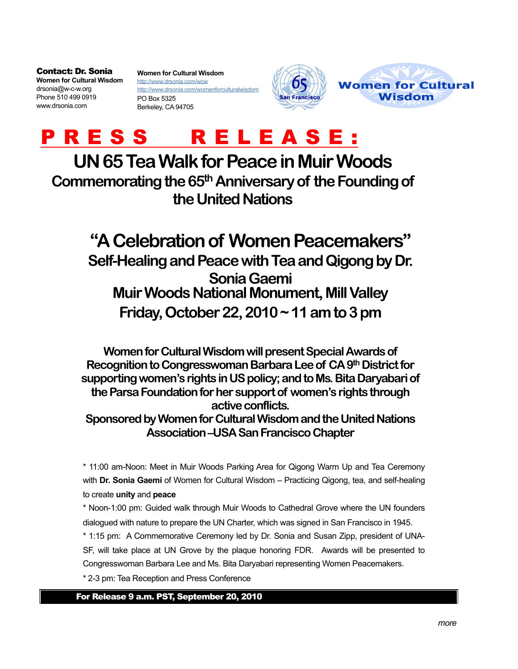Contact: Dr. Sonia **Women for Cultural Wisdom** drsonia@w-c-w.org Phone 510 499 0919 www.drsonia.com

**Women for Cultural Wisdom** http:/[/www.drsonia.com/wcw](http://www.drsonia.com/wcw) http://www.drsonia.com/womenforculturalwisdom PO Box 5325 Berkeley, CA 94705





## P R E S S R E L E A S E :

## **UN 65 Tea Walk for Peace in Muir Woods**

**Commemorating the 65th Anniversary of the Founding of the United Nations**

## **"A Celebration of Women Peacemakers"**

**Self-Healing and Peace with Tea and Qigong by Dr. Sonia Gaemi Muir Woods National Monument, Mill Valley Friday, October 22, 2010 ~ 11 am to 3 pm**

**Women for Cultural Wisdom will present Special Awards of Recognition to Congresswoman Barbara Lee of CA 9th District for supporting women's rights in US policy; and to Ms. Bita Daryabari of the Parsa Foundation for her support of women's rights through active conflicts. Sponsored by Women for Cultural Wisdom and the United Nations Association –USA San Francisco Chapter**

\* 11:00 am-Noon: Meet in Muir Woods Parking Area for Qigong Warm Up and Tea Ceremony with **Dr. Sonia Gaemi** of Women for Cultural Wisdom – Practicing Qigong, tea, and self-healing to create **unity** and **peace**

\* Noon-1:00 pm: Guided walk through Muir Woods to Cathedral Grove where the UN founders dialogued with nature to prepare the UN Charter, which was signed in San Francisco in 1945.

\* 1:15 pm: A Commemorative Ceremony led by Dr. Sonia and Susan Zipp, president of UNA-SF, will take place at UN Grove by the plaque honoring FDR. Awards will be presented to Congresswoman Barbara Lee and Ms. Bita Daryabari representing Women Peacemakers.

\* 2-3 pm: Tea Reception and Press Conference

For Release 9 a.m. PST, September 20, 2010